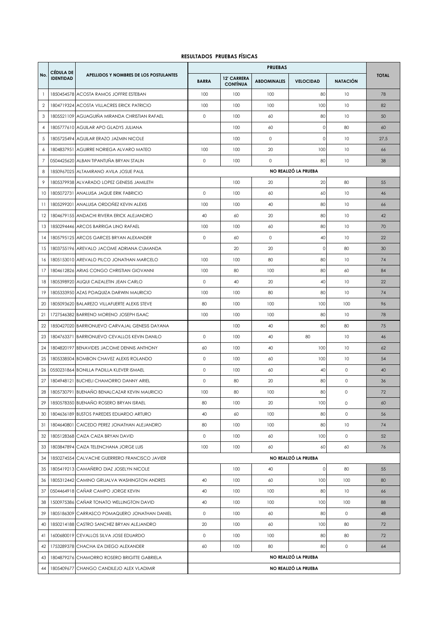## **RESULTADOS PRUEBAS FÍSICAS**

|                | <b>CÉDULA DE</b> |                                                |                      |                                       |                    |                      |                     |              |  |
|----------------|------------------|------------------------------------------------|----------------------|---------------------------------------|--------------------|----------------------|---------------------|--------------|--|
| No.            | <b>IDENTIDAD</b> | APELLIDOS Y NOMBRES DE LOS POSTULANTES         | <b>BARRA</b>         | <b>12' CARRERA</b><br><b>CONTÍNUA</b> | <b>ABDOMINALES</b> | <b>VELOCIDAD</b>     | <b>NATACIÓN</b>     | <b>TOTAL</b> |  |
| $\mathbf{1}$   |                  | 1850454578 ACOSTA RAMOS JOFFRE ESTEBAN         | 100                  | 100                                   | 100                | 80                   | 10                  | 78           |  |
| $\overline{2}$ |                  | 1804719324 ACOSTA VILLACRES ERICK PATRICIO     | 100                  | 100                                   | 100                | 100                  | 10                  | 82           |  |
| 3              | 1805521109       | AGUAGUIÑA MIRANDA CHRISTIAN RAFAEL             | 0                    | 100                                   | 60                 | 80                   | 10                  | 50           |  |
| $\overline{4}$ |                  | 1805777610 AGUILAR APO GLADYS JULIANA          |                      | 100                                   | 60                 | $\mathsf{O}\xspace$  | 80                  | 60           |  |
| 5              |                  | 1805725494 AGUILAR ERAZO JAZMIN NICOLE         |                      | 100                                   | $\circ$            | $\mathbf 0$          | 10                  | 27,5         |  |
| 6              |                  | 1804837951 AGUIRRE NORIEGA ALVARO MATEO        | 100                  | 100                                   | 20                 | 100                  | 10                  | 66           |  |
| 7              |                  | 0504425620 ALBAN TIPANTUÑA BRYAN STALIN        | 0                    | 100                                   | $\circ$            | 80                   | 10                  | 38           |  |
| 8              |                  | 1850967025 ALTAMIRANO AVILA JOSUE PAUL         |                      |                                       |                    | NO REALIZÓ LA PRUEBA |                     |              |  |
| 9              |                  | 1805379938 ALVARADO LOPEZ GENESIS JAMILETH     |                      | 100                                   | 20                 | 20                   | 80                  | 55           |  |
| 10             |                  | 1805072731 ANALUISA JAQUE ERIK FABRICIO        | $\circ$              | 100                                   | 60                 | 60                   | 10                  | 46           |  |
| 11             | 1805299201       | ANALUISA ORDOÑEZ KEVIN ALEXIS                  | 100                  | 100                                   | 40                 | 80                   | 10                  | 66           |  |
| 12             |                  | 1804679155 ANDACHI RIVERA ERICK ALEJANDRO      | 40                   | 60                                    | 20                 | 80                   | 10                  | 42           |  |
| 13             |                  | 1850294446 ARCOS BARRIGA LINO RAFAEL           | 100                  | 100                                   | 60                 | 80                   | 10                  | 70           |  |
| 14             |                  | 1805795125 ARCOS GARCES BRYAN ALEXANDER        | $\circ$              | 60                                    | $\circ$            | 40                   | 10                  | 22           |  |
| 15             |                  | 1803755196 AREVALO JACOME ADRIANA CUMANDA      |                      | 20                                    | 20                 | $\circ$              | 80                  | 30           |  |
| 16             |                  | 1805153010 AREVALO PILCO JONATHAN MARCELO      | 100                  | 100                                   | 80                 | 80                   | 10                  | 74           |  |
| 17             |                  | 1804612826 ARIAS CONGO CHRISTIAN GIOVANNI      | 100                  | 80                                    | 100                | 80                   | 60                  | 84           |  |
| 18             |                  | 1805398920 AUQUI CAIZALETIN JEAN CARLO         | $\circ$              | 40                                    | 20                 | 40                   | 10                  | 22           |  |
| 19             |                  | 1805333950 AZAS POAQUIZA DARWIN MAURICIO       | 100                  | 100                                   | 80                 | 80                   | 10                  | 74           |  |
| 20             |                  | 1805093620 BALAREZO VILLAFUERTE ALEXIS STEVE   | 80                   | 100                                   | 100                | 100                  | 100                 | 96           |  |
| 21             |                  | 1727546382 BARRENO MORENO JOSEPH ISAAC         | 100                  | 100                                   | 100                | 80                   | 10                  | 78           |  |
| 22             |                  | 1850427020 BARRIONUEVO CARVAJAL GENESIS DAYANA |                      | 100                                   | 40                 | 80                   | 80                  | 75           |  |
| 23             |                  | 1804763371 BARRIONUEVO CEVALLOS KEVIN DANILO   | 0                    | 100                                   | 40                 | 80                   | 10                  | 46           |  |
| 24             |                  | 1804820197 BENAVIDES JACOME DENNIS ANTHONY     | 60                   | 100                                   | 40                 | 100                  | 10                  | 62           |  |
| 25             |                  | 1805338504 BOMBON CHAVEZ ALEXIS ROLANDO        | 0                    | 100                                   | 60                 | 100                  | 10                  | 54           |  |
| 26             |                  | 0550231864 BONILLA PADILLA KLEVER ISMAEL       | 0                    | 100                                   | 60                 | 40                   | $\circ$             | 40           |  |
| 27             |                  | 1804948121 BUCHELI CHAMORRO DANNY ARIEL        | 0                    | 80                                    | 20                 | 80                   | $\circ$             | 36           |  |
| 28             |                  | 1805730791 BUENAÑO BENALCAZAR KEVIN MAURICIO   | 100                  | 80                                    | 100                | 80                   | $\circ$             | 72           |  |
| 29             |                  | 1850578350 BUENAÑO ROSERO BRYAN ISRAEL         | 80                   | 100                                   | 20                 | 100                  | 0                   | 60           |  |
| 30             |                  | 1804636189 BUSTOS PAREDES EDUARDO ARTURO       | 40                   | 60                                    | 100                | 80                   | $\circ$             | 56           |  |
| 31             |                  | 1804640801 CAICEDO PEREZ JONATHAN ALEJANDRO    | 80                   | 100                                   | 100                | 80                   | 10                  | 74           |  |
| 32             |                  | 1805128368 CAIZA CAIZA BRYAN DAVID             | 0                    | 100                                   | 60                 | 100                  | 0                   | 52           |  |
| 33             |                  | 1803847894 CAIZA TELENCHANA JORGE LUIS         | 100                  | 100                                   | 60                 | 60                   | 60                  | 76           |  |
| 34             |                  | 1850274554 CALVACHE GUERRERO FRANCISCO JAVIER  |                      |                                       |                    | NO REALIZÓ LA PRUEBA |                     |              |  |
| 35             |                  | 1805419213 CAMAÑERO DIAZ JOSELYN NICOLE        |                      | 100                                   | 40                 | $\circ$              | 80                  | 55           |  |
| 36             |                  | 1805312442 CAMINO GRIJALVA WASHINGTON ANDRES   | 40                   | 100                                   | 60                 | 100                  | 100                 | 80           |  |
| 37             |                  | 0504464918 CAÑAR CAMPO JORGE KEVIN             | 40                   | 100                                   | 100                | 80                   | 10                  | 66           |  |
| 38             |                  | 1500975386 CAÑAR TONATO WELLINGTON DAVID       | 40                   | 100                                   | 100                | 100                  | 100                 | 88           |  |
| 39             |                  | 1805186309 CARRASCO POMAQUERO JONATHAN DANIEL  | 0                    | 100                                   | 60                 | 80                   | $\mathsf{O}\xspace$ | 48           |  |
| 40             |                  | 1850214188 CASTRO SANCHEZ BRYAN ALEJANDRO      | 20                   | 100                                   | 60                 | 100                  | 80                  | 72           |  |
| 41             |                  | 1600680019 CEVALLOS SILVA JOSE EDUARDO         | 0                    | 100                                   | 100                | 80                   | 80                  | 72           |  |
| 42             |                  | 1753289378 CHACHA IZA DIEGO ALEXANDER          | 60                   | 100                                   | 80                 | 80                   | $\circ$             | 64           |  |
| 43             |                  | 1804879276 CHAMORRO ROSERO BRIGITTE GABRIELA   |                      |                                       |                    | NO REALIZÓ LA PRUEBA |                     |              |  |
| 44             |                  | 1805409677 CHANGO CANDILEJO ALEX VLADIMIR      | NO REALIZÓ LA PRUEBA |                                       |                    |                      |                     |              |  |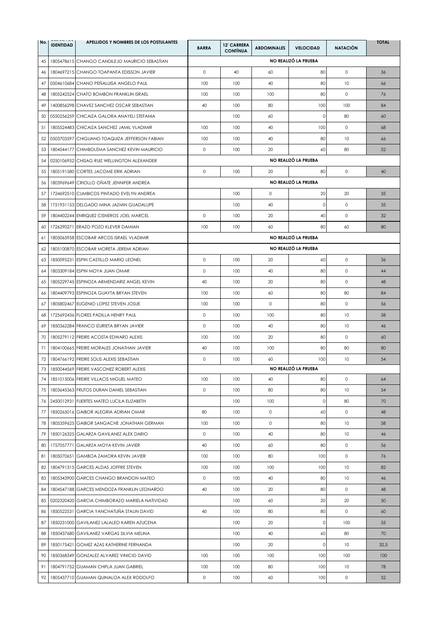| No. | <b>IDENTIDAD</b> | APELLIDOS Y NOMBRES DE LOS POSTULANTES         | <b>BARRA</b> | <b>12' CARRERA</b><br><b>CONTÍNUA</b> | <b>ABDOMINALES</b> | <b>VELOCIDAD</b>     | <b>NATACIÓN</b> | <b>TOTAL</b> |
|-----|------------------|------------------------------------------------|--------------|---------------------------------------|--------------------|----------------------|-----------------|--------------|
| 45  |                  | 1805478615 CHANGO CANDILEJO MAURICIO SEBASTIAN |              |                                       |                    | NO REALIZÓ LA PRUEBA |                 |              |
| 46  |                  | 1804697215 CHANGO TOAPANTA EDISSON JAVIER      | $\circ$      | 40                                    | 60                 | 80                   | $\circ$         | 36           |
| 47  |                  | 0504610684 CHANO PEÑALUISA ANGELO PAUL         | 100          | 100                                   | 40                 | 80                   | 10              | 66           |
| 48  |                  | 1805242524 CHATO BOMBON FRANKLIN ISRAEL        | 100          | 100                                   | 100                | 80                   | $\circ$         | 76           |
| 49  |                  | 1400856298 CHAVEZ SANCHEZ OSCAR SEBASTIAN      | 40           | 100                                   | 80                 | 100                  | 100             | 84           |
| 50  |                  | 0550256259 CHICAIZA GALORA ANAYELI STEFANIA    |              | 100                                   | 60                 | $\mathbf 0$          | 80              | 60           |
| 51  |                  | 1805524483 CHICAIZA SANCHEZ JAMIL VLADIMIR     | 100          | 100                                   | 40                 | 100                  | 0               | 68           |
| 52  |                  | 0503703597 CHIGUANO TOAQUIZA JEFFERSON FABIAN  | 100          | 100                                   | 40                 | 80                   | 10              | 66           |
| 53  |                  | 1804544177 CHIMBOLEMA SANCHEZ KEVIN MAURICIO   | $\circ$      | 100                                   | 20                 | 60                   | 80              | 52           |
| 54  |                  | 0250106952 CHISAG RUIZ WELLINGTON ALEXANDER    |              |                                       |                    | NO REALIZÓ LA PRUEBA |                 |              |
| 55  |                  | 1805191580 CORTES JACOME ERIK ADRIAN           | $\circ$      | 100                                   | 20                 | 80                   | $\circ$         | 40           |
| 56  |                  | 1803969649 CRIOLLO OÑATE JENNIFER ANDREA       |              |                                       |                    | NO REALIZÓ LA PRUEBA |                 |              |
| 57  |                  | 1724692510 CUMBICOS PINTADO EVELYN ANDREA      |              | 100                                   | $\circ$            | 20                   | 20              | 35           |
| 58  |                  | 1751931153 DELGADO MINA JAZMIN GUADALUPE       |              | 100                                   | 40                 | 0                    | $\circ$         | 35           |
| 59  |                  | 1804402244 ENRIQUEZ CISNEROS JOEL MARCEL       | $\circ$      | 100                                   | 20                 | 40                   | $\circ$         | 32           |
| 60  |                  | 1726290271 ERAZO POZO KLEVER DAMIAN            | 100          | 100                                   | 60                 | 80                   | 60              | 80           |
| 61  |                  | 1805065958 ESCOBAR ARCOS ISRAEL VLADIMIR       |              |                                       |                    | NO REALIZÓ LA PRUEBA |                 |              |
| 62  |                  | 1805100870 ESCOBAR MORETA JEREMI ADRIAN        |              |                                       |                    | NO REALIZÓ LA PRUEBA |                 |              |
| 63  |                  | 1850095231 ESPIN CASTILLO MARIO LEONEL         | $\circ$      | 100                                   | 20                 | 60                   | $\circ$         | 36           |
| 64  |                  | 1803309184 ESPIN MOYA JUAN OMAR                | $\circ$      | 100                                   | 40                 | 80                   | $\circ$         | 44           |
| 65  |                  | 1805229745 ESPINOZA ARMENDARIZ ANGEL KEVIN     | 40           | 100                                   | 20                 | 80                   | $\circ$         | 48           |
| 66  |                  | 1804409793 ESPINOZA GUAYTA BRYAN STEVEN        | 100          | 100                                   | 60                 | 80                   | 80              | 84           |
| 67  |                  | 1805802467 EUGENIO LOPEZ STEVEN JOSUE          | 100          | 100                                   | $\circ$            | 80                   | $\circ$         | 56           |
| 68  |                  | 1725692436 FLORES PADILLA HENRY PAUL           | $\circ$      | 100                                   | 100                | 80                   | 10              | 58           |
| 69  |                  | 1850362284 FRANCO IZURIETA BRYAN JAVIER        | $\circ$      | 100                                   | 40                 | 80                   | 10              | 46           |
| 70  |                  | 1805279112 FREIRE ACOSTA EDWARD ALEXIS         | 100          | 100                                   | 20                 | 80                   | $\circ$         | 60           |
| 71  |                  | 1804100665 FREIRE MORALES JONATHAN JAVIER      | 40           | 100                                   | 100                | 80                   | 80              | 80           |
| 72  |                  | 1804766192 FREIRE SOLIS ALEXIS SEBASTIAN       | $\circ$      | 100                                   | 60                 | 100                  | 10              | 54           |
| 73  |                  | 1850044569 FREIRE VASCONEZ ROBERT ALEXIS       |              |                                       |                    | NO REALIZÓ LA PRUEBA |                 |              |
| 74  |                  | 1851015006 FREIRE VILLACIS MIGUEL MATEO        | 100          | 100                                   | 40                 | 80                   | $\circ$         | 64           |
| 75  |                  | 1803645363 FRUTOS DURAN DANIEL SEBASTIAN       | $\circ$      | 100                                   | 80                 | 80                   | 10              | 54           |
| 76  |                  | 2450012931 FUERTES MATEO LUCILA ELIZABETH      |              | 100                                   | 100                | $\mathsf{O}\xspace$  | 80              | 70           |
| 77  |                  | 1850265016 GAIBOR ALEGRIA ADRIAN OMAR          | 80           | 100                                   | $\circ$            | 60                   | $\circ$         | 48           |
| 78  |                  | 1805359625 GAIBOR SANGACHE JONATHAN GERMAN     | 100          | 100                                   | $\circ$            | 80                   | 10              | 58           |
| 79  |                  | 1850126325 GALARZA GAVILANEZ ALEX DARIO        | $\circ$      | 100                                   | 40                 | 80                   | 10              | 46           |
| 80  |                  | 1757057771 GALARZA MOYA KEVIN JAVIER           | 40           | 100                                   | 60                 | 80                   | 0               | 56           |
| 81  |                  | 1805070651 GAMBOA ZAMORA KEVIN JAVIER          | 100          | 100                                   | 80                 | 100                  | $\circ$         | 76           |
| 82  |                  | 1804791315 GARCES ALDAS JOFFRE STEVEN          | 100          | 100                                   | 100                | 100                  | 10              | 82           |
| 83  |                  | 1805343900 GARCES CHANGO BRANDON MATEO         | 0            | 100                                   | 40                 | 80                   | 10              | 46           |
| 84  |                  | 1804547188 GARCES MENDOZA FRANKLIN LEONARDO    | 40           | 100                                   | 20                 | 80                   | $\circ$         | 48           |
| 85  |                  | 0202320420 GARCIA CHIMBORAZO MARIELA NATIVIDAD |              | 100                                   | 60                 | 20                   | 20              | 50           |
| 86  |                  | 1850522531 GARCIA YANCHATUÑA STALIN DAVID      | 40           | 100                                   | 80                 | 80                   | $\circ$         | 60           |
| 87  |                  | 1850231000 GAVILANEZ LALALEO KAREN AZUCENA     |              | 100                                   | 20                 | $\mathsf{O}\xspace$  | 100             | 55           |
| 88  |                  | 1850437680 GAVILANEZ VARGAS SILVIA MELINA      |              | 100                                   | 40                 | 60                   | 80              | 70           |
| 89  |                  | 1850175421 GOMEZ AZAS KATHERINE FERNANDA       |              | 100                                   | 20                 | $\mathsf{O}\xspace$  | 10              | 32,5         |
| 90  |                  | 1850368349 GONZALEZ ALVAREZ VINICIO DAVID      | 100          | 100                                   | 100                | 100                  | 100             | 100          |
| 91  |                  | 1804791752 GUAMAN CHIFLA JUAN GABRIEL          | 100          | 100                                   | 80                 | 100                  | 10              | 78           |
| 92  |                  | 1805437710 GUAMAN QUINALOA ALEX RODOLFO        | 0            | 100                                   | 60                 | 100                  | $\circ$         | 52           |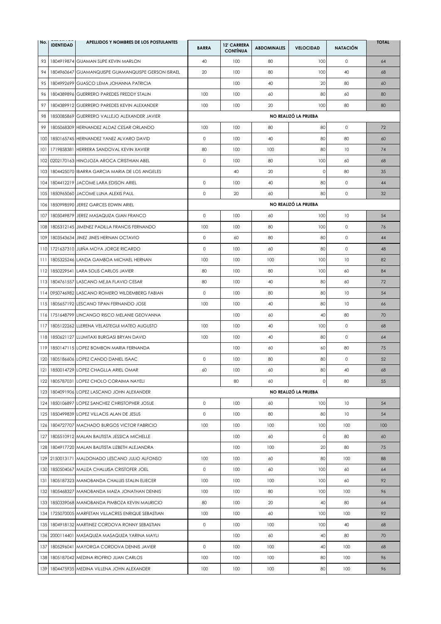| No. | <b>IDENTIDAD</b> | APELLIDOS Y NOMBRES DE LOS POSTULANTES              | <b>BARRA</b> | 12' CARRERA<br><b>CONTÍNUA</b> | <b>ABDOMINALES</b> | <b>VELOCIDAD</b>     | <b>NATACIÓN</b> | <b>TOTAL</b> |
|-----|------------------|-----------------------------------------------------|--------------|--------------------------------|--------------------|----------------------|-----------------|--------------|
| 93  |                  | 1804919874 GUAMAN SUPE KEVIN MARLON                 | 40           | 100                            | 80                 | 100                  | $\circ$         | 64           |
| 94  |                  | 1804960647 GUAMANQUISPE GUAMANQUISPE GERSON ISRAEL  | 20           | 100                            | 80                 | 100                  | 40              | 68           |
| 95  |                  | 1804992699 GUASCO LEMA JOHANNA PATRICIA             |              | 100                            | 40                 | 20                   | 80              | 60           |
| 96  |                  | 1804389896 GUERRERO PAREDES FREDDY STALIN           | 100          | 100                            | 60                 | 80                   | 60              | 80           |
| 97  |                  | 1804389912 GUERRERO PAREDES KEVIN ALEXANDER         | 100          | 100                            | 20                 | 100                  | 80              | 80           |
| 98  |                  | 1850085869 GUERRERO VALLEJO ALEXANDER JAVIER        |              |                                |                    | NO REALIZÓ LA PRUEBA |                 |              |
| 99  |                  | 1805068309 HERNANDEZ ALDAZ CESAR ORLANDO            | 100          | 100                            | 80                 | 80                   | $\circ$         | 72           |
| 100 |                  | 1850165745 HERNANDEZ YANEZ ALVARO DAVID             | $\circ$      | 100                            | 40                 | 80                   | 80              | 60           |
| 101 |                  | 1719858381 HERRERA SANDOVAL KEVIN XAVIER            | 80           | 100                            | 100                | 80                   | 10              | 74           |
| 102 |                  | 0202170163 HINOJOZA AROCA CRISTHIAN ABEL            | 0            | 100                            | 80                 | 100                  | 60              | 68           |
| 103 |                  | 1804425070 IBARRA GARCIA MARIA DE LOS ANGELES       |              | 40                             | 20                 | 0                    | 80              | 35           |
| 104 |                  | 1804412219 JACOME LARA EDISON ARIEL                 | $\mathsf O$  | 100                            | 40                 | 80                   | $\circ$         | 44           |
| 105 |                  | 1850965060 JACOME LUNA ALEXIS PAUL                  | $\circ$      | 20                             | 60                 | 80                   | $\circ$         | 32           |
| 106 |                  | 1850998590 JEREZ GARCES EDWIN ARIEL                 |              |                                |                    | NO REALIZÓ LA PRUEBA |                 |              |
| 107 |                  | 1805049879 JEREZ MASAQUIZA GIAN FRANCO              | $\circ$      | 100                            | 60                 | 100                  | 10              | 54           |
| 108 |                  | 1805312145 JIMENEZ PADILLA FRANCIS FERNANDO         | 100          | 100                            | 80                 | 100                  | $\circ$         | 76           |
| 109 |                  | 1803543634 JINEZ JINES HERNAN OCTAVIO               | $\circ$      | 60                             | 80                 | 80                   | $\circ$         | 44           |
| 110 |                  | 1721637310 JUIÑA MOYA JORGE RICARDO                 | $\circ$      | 100                            | 60                 | 80                   | $\circ$         | 48           |
| 111 |                  | 1805325246 LANDA GAMBOA MICHAEL HERNAN              | 100          | 100                            | 100                | 100                  | 10              | 82           |
| 112 |                  | 1850229541 LARA SOLIS CARLOS JAVIER                 | 80           | 100                            | 80                 | 100                  | 60              | 84           |
| 113 |                  | 1804761557 LASCANO MEJIA FLAVIO CESAR               | 80           | 100                            | 40                 | 80                   | 60              | 72           |
| 114 |                  | 0950746982 LASCANO ROMERO WILDEMBERG FABIAN         | $\mathsf O$  | 100                            | 80                 | 80                   | 10              | 54           |
| 115 |                  | 1805657192 LESCANO TIPAN FERNANDO JOSE              | 100          | 100                            | 40                 | 80                   | 10              | 66           |
| 116 |                  | 1751648799 LINCANGO RISCO MELANIE GEOVANNA          |              | 100                            | 60                 | 40                   | 80              | 70           |
| 117 |                  | 1805122262 LLERENA VELASTEGUI MATEO AUGUSTO         | 100          | 100                            | 40                 | 100                  | $\circ$         | 68           |
| 118 |                  | 1850621127 LLUMITAXI BURGASI BRYAN DAVID            | 100          | 100                            | 40                 | 80                   | $\circ$         | 64           |
| 119 |                  | 1850147115 LOPEZ BOMBON MARIA FERNANDA              |              | 100                            | 60                 | 60                   | 80              | 75           |
| 120 |                  | 1805186606 LOPEZ CANDO DANIEL ISAAC                 | $\circ$      | 100                            | 80                 | 80                   | $\circ$         | 52           |
|     |                  | 121 1850014729 LOPEZ CHAGLLA ARIEL OMAR             | 60           | 100                            | 60                 | 80                   | 40              | 68           |
|     |                  | 122 1805787031 LOPEZ CHOLO CORAIMA NAYELI           |              | 80                             | 60                 | $\mathsf{O}\xspace$  | 80              | 55           |
|     |                  | 123 1804091906 LOPEZ LASCANO JOHN ALEXANDER         |              |                                |                    | NO REALIZÓ LA PRUEBA |                 |              |
|     |                  | 124 1850106897 LOPEZ SANCHEZ CHRISTOPHER JOSUE      | $\circ$      | 100                            | 60                 | 100                  | 10              | 54           |
|     |                  | 125 1850499839 LOPEZ VILLACIS ALAN DE JESUS         | $\circ$      | 100                            | 80                 | 80                   | 10              | 54           |
|     |                  | 126 1804727707 MACHADO BURGOS VICTOR FABRICIO       | 100          | 100                            | 100                | 100                  | 100             | 100          |
| 127 |                  | 1805510912 MALAN BAUTISTA JESSICA MICHELLE          |              | 100                            | 60                 | 0                    | 80              | 60           |
| 128 |                  | 1804917720 MALAN BAUTISTA LIZBETH ALEJANDRA         |              | 100                            | 100                | 20                   | 80              | 75           |
|     |                  | 129 2150013171 MALDONADO LESCANO JULIO ALFONSO      | 100          | 100                            | 60                 | 80                   | 100             | 88           |
|     |                  | 130 1850504067 MALIZA CHALUISA CRISTOFER JOEL       | 0            | 100                            | 60                 | 100                  | 60              | 64           |
| 131 |                  | 1805187323 MANOBANDA CHALUIS STALIN ELIECER         | 100          | 100                            | 100                | 100                  | 60              | 92           |
| 132 |                  | 1805468327 MANOBANDA MAIZA JONATHAN DENNIS          | 100          | 100                            | 80                 | 100                  | 100             | 96           |
|     |                  | 133 1850339068 MANOBANDA PIMBOZA KEVIN MAURICIO     | 80           | 100                            | 20                 | 40                   | 80              | 64           |
|     |                  | 134 1725070005 MARFETAN VILLACRES ENRIQUE SEBASTIAN | 100          | 100                            | 60                 | 100                  | 100             | 92           |
|     |                  | 135 1804918132 MARTINEZ CORDOVA RONNY SEBASTIAN     | $\circ$      | 100                            | 100                | 100                  | 40              | 68           |
|     |                  | 136 2000114401 MASAQUIZA MASAQUIZA YARINA MAYLI     |              | 100                            | 60                 | 40                   | 80              | 70           |
| 137 |                  | 1805296041 MAYORGA CORDOVA DENNIS JAVIER            | $\circ$      | 100                            | 100                | 40                   | 100             | 68           |
|     |                  | 138 1805187042 MEDINA RIOFRIO JUAN CARLOS           | 100          | 100                            | 100                | 80                   | 100             | 96           |
|     |                  | 139 1804475935 MEDINA VILLENA JOHN ALEXANDER        | 100          | 100                            | 100                | 80                   | 100             | 96           |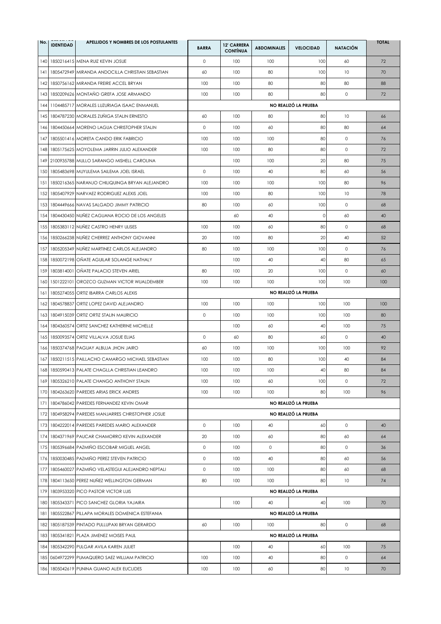| No. | <b>IDENTIDAD</b> | APELLIDOS Y NOMBRES DE LOS POSTULANTES             | <b>BARRA</b> | 12' CARRERA<br><b>CONTÍNUA</b> | <b>ABDOMINALES</b> | <b>VELOCIDAD</b>     | <b>NATACIÓN</b> | <b>TOTAL</b> |
|-----|------------------|----------------------------------------------------|--------------|--------------------------------|--------------------|----------------------|-----------------|--------------|
| 140 |                  | 1850216415 MENA RUIZ KEVIN JOSUE                   | $\mathsf O$  | 100                            | 100                | 100                  | 60              | 72           |
| 141 |                  | 1805472949 MIRANDA ANDOCILLA CHRISTIAN SEBASTIAN   | 60           | 100                            | 80                 | 100                  | 10              | 70           |
| 142 |                  | 1850756162 MIRANDA FREIRE ACCEL BRYAN              | 100          | 100                            | 80                 | 80                   | 80              | 88           |
| 143 |                  | 1850209626 MONTAÑO GREFA JOSE ARMANDO              | 100          | 100                            | 80                 | 80                   | $\circ$         | 72           |
| 144 |                  | 1104485717 MORALES LUZURIAGA ISAAC ENMANUEL        |              |                                |                    | NO REALIZÓ LA PRUEBA |                 |              |
|     |                  | 145 1804787230 MORALES ZUÑIGA STALIN ERNESTO       | 60           | 100                            | 80                 | 80                   | 10              | 66           |
| 146 |                  | 1804450664 MORENO LAGUA CHRISTOPHER STALIN         | $\circ$      | 100                            | 60                 | 80                   | 80              | 64           |
| 147 |                  | 1805501416 MORETA CANDO ERIK FABRICIO              | 100          | 100                            | 100                | 80                   | $\circ$         | 76           |
| 148 |                  | 1805175625 MOYOLEMA JARRIN JULIO ALEXANDER         | 100          | 100                            | 80                 | 80                   | $\circ$         | 72           |
| 149 |                  | 2100935788 MULLO SARANGO MISHELL CAROLINA          |              | 100                            | 100                | 20                   | 80              | 75           |
| 150 |                  | 1805483698 MUYULEMA SAILEMA JOEL ISRAEL            | $\circ$      | 100                            | 40                 | 80                   | 60              | 56           |
| 151 |                  | 1850216365 NARANJO CHILIQUINGA BRYAN ALEJANDRO     | 100          | 100                            | 100                | 100                  | 80              | 96           |
| 152 |                  | 1805407929 NARVAEZ RODRIGUEZ ALEXIS JOEL           | 100          | 100                            | 80                 | 100                  | 10              | 78           |
| 153 |                  | 1804449666 NAVAS SALGADO JIMMY PATRICIO            | 80           | 100                            | 60                 | 100                  | $\circ$         | 68           |
| 154 |                  | 1804430450 NUNEZ CAGUANA ROCIO DE LOS ANGELES      |              | 60                             | 40                 | 0                    | 60              | 40           |
| 155 |                  | 1805383112 NUÑEZ CASTRO HENRY ULISES               | 100          | 100                            | 60                 | 80                   | $\circ$         | 68           |
| 156 |                  | 1850266238 NUÑEZ CHERREZ ANTHONY GIOVANNI          | 20           | 100                            | 80                 | 20                   | 40              | 52           |
| 157 |                  | 1805205349 NUNEZ MARTINEZ CARLOS ALEJANDRO         | 80           | 100                            | 100                | 100                  | $\circ$         | 76           |
| 158 |                  | 1850072198 ONATE AGUILAR SOLANGE NATHALY           |              | 100                            | 40                 | 40                   | 80              | 65           |
| 159 |                  | 1803814001 ONATE PALACIO STEVEN ARIEL              | 80           | 100                            | 20                 | 100                  | $\circ$         | 60           |
| 160 |                  | 1501222101 OROZCO GUZMAN VICTOR WUALDEMBER         | 100          | 100                            | 100                | 100                  | 100             | 100          |
| 161 |                  | 1805274055 ORTIZ IBARRA CARLOS ALEXIS              |              |                                |                    | NO REALIZÓ LA PRUEBA |                 |              |
| 162 |                  | 1804578837 ORTIZ LOPEZ DAVID ALEJANDRO             | 100          | 100                            | 100                | 100                  | 100             | 100          |
| 163 |                  | 1804915039 ORTIZ ORTIZ STALIN MAURICIO             | $\mathsf O$  | 100                            | 100                | 100                  | 100             | 80           |
| 164 |                  | 1804360574 ORTIZ SANCHEZ KATHERINE MICHELLE        |              | 100                            | 60                 | 40                   | 100             | 75           |
| 165 |                  | 1850093574 ORTIZ VILLALVA JOSUE ELIAS              | $\circ$      | 60                             | 80                 | 60                   | $\circ$         | 40           |
| 166 |                  | 1850374768 PAGUAY ALBUJA JHON JAIRO                | 60           | 100                            | 100                | 100                  | 100             | 92           |
| 167 |                  | 1850211515 PAILLACHO CAMARGO MICHAEL SEBASTIAN     | 100          | 100                            | 80                 | 100                  | 40              | 84           |
|     |                  | 168 1850590413 PALATE CHAGLLA CHRISTIAN LEANDRO    | 100          | 100                            | 100                | 40                   | 80              | 84           |
|     |                  | 169 1805326210 PALATE CHANGO ANTHONY STALIN        | 100          | 100                            | 60                 | 100                  | 0               | 72           |
|     |                  | 170 1804263620 PAREDES ARIAS ERICK ANDRES          | 100          | 100                            | 100                | 80                   | 100             | 96           |
|     |                  | 171 1804786042 PAREDES FERNANDEZ KEVIN OMAR        |              |                                |                    | NO REALIZÓ LA PRUEBA |                 |              |
|     |                  | 172 1804958294 PAREDES MANJARRES CHRISTOPHER JOSUE |              |                                |                    | NO REALIZÓ LA PRUEBA |                 |              |
|     |                  | 173 1804222014 PAREDES PAREDES MARIO ALEXANDER     | 0            | 100                            | 40                 | 60                   | 0               | 40           |
| 174 |                  | 1804371969 PAUCAR CHAMORRO KEVIN ALEXANDER         | 20           | 100                            | 60                 | 80                   | 60              | 64           |
| 175 |                  | 1805396684 PAZMIÑO ESCOBAR MIGUEL ANGEL            | $\circ$      | 100                            | $\circ$            | 80                   | $\circ$         | 36           |
|     |                  | 176 1850030485 PAZMIÑO PEREZ STEVEN PATRICIO       | $\circ$      | 100                            | 40                 | 80                   | 60              | 56           |
| 177 |                  | 1805460027 PAZMIÑO VELASTEGUI ALEJANDRO NEPTALI    | $\circ$      | 100                            | 100                | 80                   | 60              | 68           |
|     |                  | 178 1804113650 PEREZ NUÑEZ WELLINGTON GERMAN       | 80           | 100                            | 100                | 80                   | 10              | 74           |
| 179 |                  | 1803953320 PICO PASTOR VICTOR LUIS                 |              |                                |                    | NO REALIZÓ LA PRUEBA |                 |              |
|     |                  | 180 1805343371 PICO SANCHEZ GLORIA YAJAIRA         |              | 100                            | 40                 | 40                   | 100             | 70           |
|     |                  | 181 1805522867 PILLAPA MORALES DOMENICA ESTEFANIA  |              |                                |                    | NO REALIZÓ LA PRUEBA |                 |              |
| 182 |                  | 1805187539 PINTADO PULLUPAXI BRYAN GERARDO         | 60           | 100                            | 100                | 80                   | $\circ$         | 68           |
|     |                  | 183 1805341821 PLAZA JIMENEZ MOISES PAUL           |              |                                |                    | NO REALIZÓ LA PRUEBA |                 |              |
|     |                  | 184 1805342290 PULGAR AVILA KAREN JULIET           |              | 100                            | 40                 | 60                   | 100             | 75           |
|     |                  | 185 0604972299 PUMAQUERO SAEZ WILLIAM PATRICIO     | 100          | 100                            | 40                 | 80                   | $\circ$         | 64           |
|     |                  | 186 1805042619 PUNINA GUANO ALEX EUCLIDES          | 100          | 100                            | 60                 | 80                   | 10              | 70           |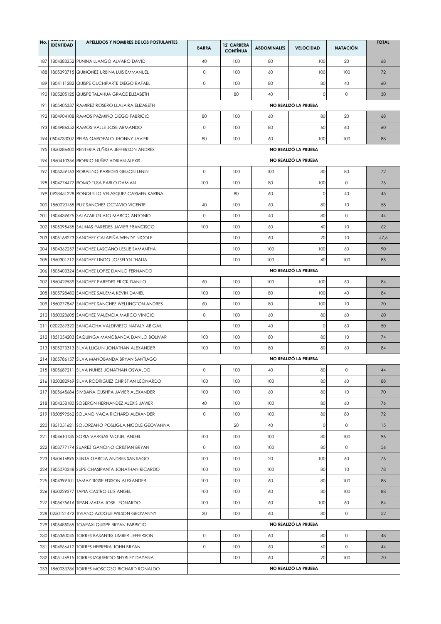| No. | <b>IDENTIDAD</b> | APELLIDOS Y NOMBRES DE LOS POSTULANTES            | <b>BARRA</b> | <b>12' CARRERA</b><br><b>CONTÍNUA</b> | <b>ABDOMINALES</b> | <b>VELOCIDAD</b>     | <b>NATACIÓN</b> | <b>TOTAL</b> |
|-----|------------------|---------------------------------------------------|--------------|---------------------------------------|--------------------|----------------------|-----------------|--------------|
| 187 |                  | 1804383352 PUNINA LLANGO ALVARO DAVID             | 40           | 100                                   | 80                 | 100                  | 20              | 68           |
| 188 |                  | 1805393715 QUINONEZ URBINA LUIS EMMANUEL          | $\circ$      | 100                                   | 60                 | 100                  | 100             | 72           |
| 189 |                  | 1804111282 QUISPE CUCHIPARTE DIEGO RAFAEL         | $\circ$      | 100                                   | 80                 | 80                   | 40              | 60           |
| 190 |                  | 1805205125 QUISPE TALAHUA GRACE ELIZABETH         |              | 80                                    | 40                 | 0                    | $\circ$         | 30           |
| 191 |                  | 1805405337 RAMIREZ ROSERO LLAJAIRA ELIZABETH      |              |                                       |                    | NO REALIZÓ LA PRUEBA |                 |              |
| 192 |                  | 1804904108 RAMOS PAZMIÑO DIEGO FABRICIO           | 80           | 100                                   | 60                 | 80                   | 20              | 68           |
| 193 |                  | 1804986352 RAMOS VALLE JOSE ARMANDO               | $\circ$      | 100                                   | 80                 | 60                   | 60              | 60           |
| 194 |                  | 0504733007 REIRA GAROFALO JHONNY JAVIER           | 80           | 100                                   | 60                 | 100                  | 100             | 88           |
| 195 |                  | 1850286400 RENTERIA ZUNIGA JEFFERSON ANDRES       |              |                                       |                    | NO REALIZÓ LA PRUEBA |                 |              |
| 196 |                  | 1850410356 RIOFRIO NUNEZ ADRIAN ALEXIS            |              |                                       |                    | NO REALIZÓ LA PRUEBA |                 |              |
| 197 |                  | 1805259163 ROBALINO PAREDES GEISON LENIN          | $\circ$      | 100                                   | 100                | 80                   | 80              | 72           |
| 198 |                  | 1804774477 ROMO TUSA PABLO DAMIAN                 | 100          | 100                                   | 80                 | 100                  | $\circ$         | 76           |
| 199 |                  | 0928451228 RONQUILLO VELASQUEZ CARMEN KARINA      |              | 80                                    | 60                 | 0                    | 40              | 45           |
| 200 |                  | 1850020155 RUIZ SANCHEZ OCTAVIO VICENTE           | 40           | 100                                   | 60                 | 80                   | 10              | 58           |
| 201 |                  | 1804439675 SALAZAR GUATO MARCO ANTONIO            | $\circ$      | 100                                   | 40                 | 80                   | $\circ$         | 44           |
| 202 |                  | 1805095435 SALINAS PAREDES JAVIER FRANCISCO       | 100          | 100                                   | 60                 | 40                   | 10              | 62           |
| 203 |                  | 1805168273 SANCHEZ CALAPIÑA WENDY NICOLE          |              | 100                                   | 60                 | 20                   | 10              | 47,5         |
| 204 |                  | 1804362257 SANCHEZ LASCANO LESLIE SAMANTHA        |              | 100                                   | 100                | 100                  | 60              | 90           |
| 205 |                  | 1850301712 SANCHEZ LINDO JOSSELYN THALIA          |              | 100                                   | 100                | 40                   | 100             | 85           |
| 206 |                  | 1805403324 SANCHEZ LOPEZ DANILO FERNANDO          |              |                                       |                    | NO REALIZÓ LA PRUEBA |                 |              |
| 207 |                  | 1850429539 SANCHEZ PAREDES ERICK DANILO           | 60           | 100                                   | 100                | 100                  | 60              | 84           |
| 208 |                  | 1805728480 SANCHEZ SAILEMA KEVIN DANIEL           | 100          | 100                                   | 80                 | 100                  | 40              | 84           |
| 209 |                  | 1850277847 SANCHEZ SANCHEZ WELLINGTON ANDRES      | 60           | 100                                   | 80                 | 100                  | 10              | 70           |
| 210 |                  | 1850023605 SANCHEZ VALENCIA MARCO VINICIO         | $\mathsf O$  | 100                                   | 60                 | 80                   | 60              | 60           |
| 211 |                  | 0202269320 SANGACHA VALDIVIEZO NATALY ABIGAIL     |              | 100                                   | 40                 | 0                    | 60              | 50           |
| 212 |                  | 1851054203 SAQUINGA MANOBANDA DANILO BOLIVAR      | 100          | 100                                   | 80                 | 80                   | 10              | 74           |
|     |                  | 213 1805273313 SILVA LLIGUIN JONATHAN ALEXANDER   | 100          | 100                                   | 80                 | 80                   | 60              | 84           |
| 214 |                  | 1805786157 SILVA MANOBANDA BRYAN SANTIAGO         |              |                                       |                    | NO REALIZÓ LA PRUEBA |                 |              |
|     |                  | 215 1805689211 SILVA NUÑEZ JONATHAN OSWALDO       | 0            | 100                                   | 40                 | 80                   | $\circ$         | 44           |
|     |                  | 216 1850382969 SILVA RODRIGUEZ CHRISTIAN LEONARDO | 100          | 100                                   | 100                | 80                   | 60              | 88           |
|     |                  | 217 1805645684 SIMBAÑA CUSHPA JAVIER ALEXANDER    | 100          | 100                                   | 60                 | 80                   | 10              | 70           |
|     |                  | 218 1804358180 SOBERON HERNANDEZ ALEXIS JAVIER    | 40           | 100                                   | 100                | 80                   | 60              | 76           |
|     |                  | 219 1850599562 SOLANO VACA RICHARD ALEXANDER      | 0            | 100                                   | 100                | 80                   | 80              | 72           |
|     |                  | 220 1851051621 SOLORZANO POSLIGUA NICOLE GEOVANNA |              | 20                                    | 40                 | 0                    | 0               | 15           |
| 221 |                  | 1804610135 SORIA VARGAS MIGUEL ANGEL              | 100          | 100                                   | 100                | 80                   | 100             | 96           |
| 222 |                  | 1803777174 SUAREZ GANCINO CRISTIAN BRYAN          | $\circ$      | 100                                   | 100                | 80                   | $\circ$         | 56           |
| 223 |                  | 1850616895 SUNTA GARCIA ANDRES SANTIAGO           | 100          | 100                                   | 20                 | 100                  | 60              | 76           |
|     |                  | 224 1805070248 SUPE CHASIPANTA JONATHAN RICARDO   | 100          | 100                                   | 100                | 80                   | 10              | 78           |
|     |                  | 225   1804399101   TAMAY TIGSE EDISON ALEXANDER   | 100          | 100                                   | 60                 | 80                   | 100             | 88           |
|     |                  | 226 1850229277 TAPIA CASTRO LUIS ANGEL            | 100          | 100                                   | 60                 | 80                   | 100             | 88           |
| 227 |                  | 1805675616 TIPAN MATZA JOSE LEONARDO              | 100          | 100                                   | 60                 | 100                  | 60              | 84           |
|     |                  | 228 0250121472 TIVIANO AZOGUE WILSON GEOVANNY     | 20           | 100                                   | 60                 | 80                   | $\circ$         | 52           |
|     |                  | 229 1805485065 TOAPAXI QUISPE BRYAN FABRICIO      |              |                                       |                    | NO REALIZÓ LA PRUEBA |                 |              |
| 230 |                  | 1805360045 TORRES BASANTES LIMBER JEFFERSON       | $\circ$      | 100                                   | 60                 | 80                   | $\circ$         | 48           |
|     |                  | 231 1804966412 TORRES HERRERA JOHN BRYAN          | $\mathsf O$  | 100                                   | 60                 | 60                   | $\circ$         | 44           |
|     |                  | 232 1805146915 TORRES IZQUIERDO SHYRLEY DAYANA    |              | 100                                   | 60                 | 20                   | 100             | 70           |
|     |                  | 233 1850033786 TORRES MOSCOSO RICHARD RONALDO     |              |                                       |                    | NO REALIZÓ LA PRUEBA |                 |              |